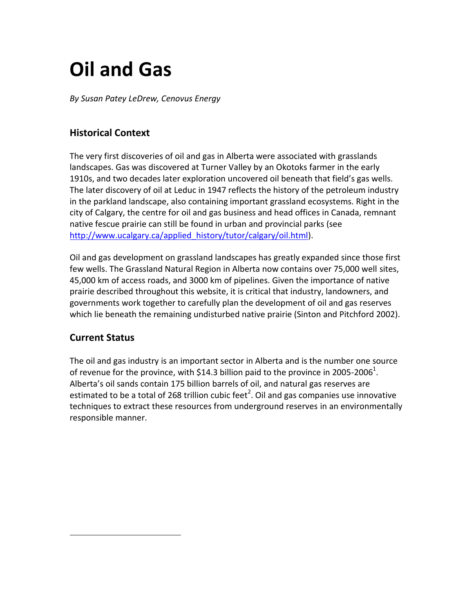# **Oil and Gas**

*By Susan Patey LeDrew, Cenovus Energy*

## **Historical Context**

The very first discoveries of oil and gas in Alberta were associated with grasslands landscapes. Gas was discovered at Turner Valley by an Okotoks farmer in the early 1910s, and two decades later exploration uncovered oil beneath that field's gas wells. The later discovery of oil at Leduc in 1947 reflects the history of the petroleum industry in the parkland landscape, also containing important grassland ecosystems. Right in the city of Calgary, the centre for oil and gas business and head offices in Canada, remnant native fescue prairie can still be found in urban and provincial parks (see [http://www.ucalgary.ca/applied\\_history/tutor/calgary/oil.html\)](http://www.ucalgary.ca/applied_history/tutor/calgary/oil.html).

Oil and gas development on grassland landscapes has greatly expanded since those first few wells. The Grassland Natural Region in Alberta now contains over 75,000 well sites, 45,000 km of access roads, and 3000 km of pipelines. Given the importance of native prairie described throughout this website, it is critical that industry, landowners, and governments work together to carefully plan the development of oil and gas reserves which lie beneath the remaining undisturbed native prairie (Sinton and Pitchford 2002).

## **Current Status**

 $\overline{a}$ 

The oil and gas industry is an important sector in Alberta and is the number one source of revenue for the province, with \$14.3 billion paid to the province in 2005-2006<sup>1</sup>. Alberta's oil sands contain 175 billion barrels of oil, and natural gas reserves are estimated to be a total of 268 trillion cubic feet<sup>2</sup>. Oil and gas companies use innovative techniques to extract these resources from underground reserves in an environmentally responsible manner.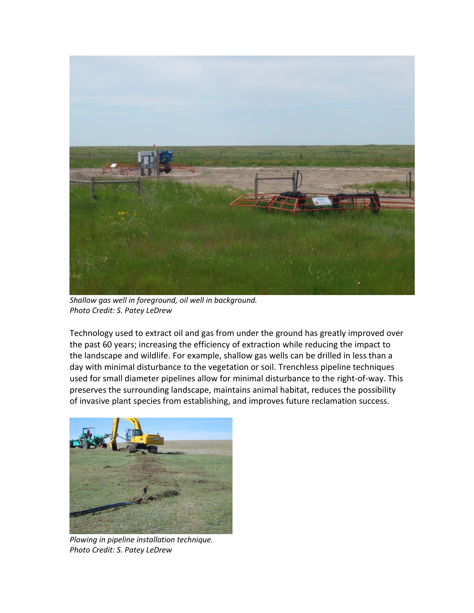

*Shallow gas well in foreground, oil well in background. Photo Credit: S. Patey LeDrew*

Technology used to extract oil and gas from under the ground has greatly improved over the past 60 years; increasing the efficiency of extraction while reducing the impact to the landscape and wildlife. For example, shallow gas wells can be drilled in less than a day with minimal disturbance to the vegetation or soil. Trenchless pipeline techniques used for small diameter pipelines allow for minimal disturbance to the right-of-way. This preserves the surrounding landscape, maintains animal habitat, reduces the possibility of invasive plant species from establishing, and improves future reclamation success.



*Plowing in pipeline installation technique. Photo Credit: S. Patey LeDrew*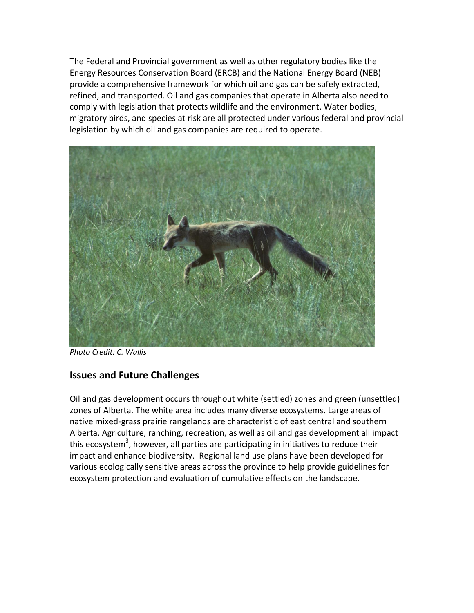The Federal and Provincial government as well as other regulatory bodies like the Energy Resources Conservation Board (ERCB) and the National Energy Board (NEB) provide a comprehensive framework for which oil and gas can be safely extracted, refined, and transported. Oil and gas companies that operate in Alberta also need to comply with legislation that protects wildlife and the environment. Water bodies, migratory birds, and species at risk are all protected under various federal and provincial legislation by which oil and gas companies are required to operate.



*Photo Credit: C. Wallis*

 $\overline{a}$ 

### **Issues and Future Challenges**

Oil and gas development occurs throughout white (settled) zones and green (unsettled) zones of Alberta. The white area includes many diverse ecosystems. Large areas of native mixed-grass prairie rangelands are characteristic of east central and southern Alberta. Agriculture, ranching, recreation, as well as oil and gas development all impact this ecosystem<sup>3</sup>, however, all parties are participating in initiatives to reduce their impact and enhance biodiversity. Regional land use plans have been developed for various ecologically sensitive areas across the province to help provide guidelines for ecosystem protection and evaluation of cumulative effects on the landscape.